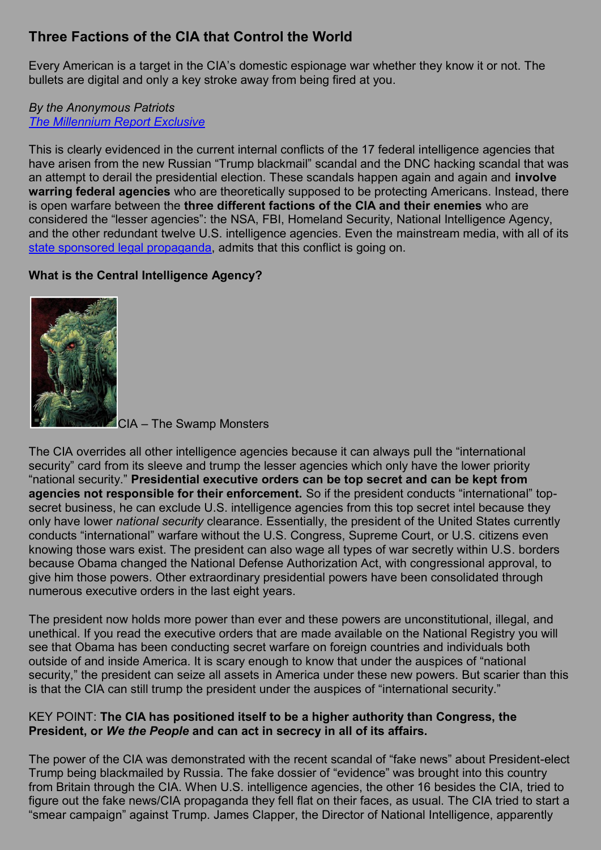# **Three Factions of the CIA that Control the World**

Every American is a target in the CIA's domestic espionage war whether they know it or not. The bullets are digital and only a key stroke away from being fired at you.

#### *By the Anonymous Patriots [The Millennium Report Exclusive](http://themillenniumreport.com/2017/01/exposed-cia-the-swamp-monsters/)*

This is clearly evidenced in the current internal conflicts of the 17 federal intelligence agencies that have arisen from the new Russian "Trump blackmail" scandal and the DNC hacking scandal that was an attempt to derail the presidential election. These scandals happen again and again and **involve warring federal agencies** who are theoretically supposed to be protecting Americans. Instead, there is open warfare between the **three different factions of the CIA and their enemies** who are considered the "lesser agencies": the NSA, FBI, Homeland Security, National Intelligence Agency, and the other redundant twelve U.S. intelligence agencies. Even the mainstream media, with all of its [state sponsored legal propaganda,](http://stateofthenation2012.com/?p=29475) admits that this conflict is going on.

### **What is the Central Intelligence Agency?**



CIA – The Swamp Monsters

The CIA overrides all other intelligence agencies because it can always pull the "international security" card from its sleeve and trump the lesser agencies which only have the lower priority "national security." **Presidential executive orders can be top secret and can be kept from agencies not responsible for their enforcement.** So if the president conducts "international" topsecret business, he can exclude U.S. intelligence agencies from this top secret intel because they only have lower *national security* clearance. Essentially, the president of the United States currently conducts "international" warfare without the U.S. Congress, Supreme Court, or U.S. citizens even knowing those wars exist. The president can also wage all types of war secretly within U.S. borders because Obama changed the National Defense Authorization Act, with congressional approval, to give him those powers. Other extraordinary presidential powers have been consolidated through numerous executive orders in the last eight years.

The president now holds more power than ever and these powers are unconstitutional, illegal, and unethical. If you read the executive orders that are made available on the National Registry you will see that Obama has been conducting secret warfare on foreign countries and individuals both outside of and inside America. It is scary enough to know that under the auspices of "national security," the president can seize all assets in America under these new powers. But scarier than this is that the CIA can still trump the president under the auspices of "international security."

#### KEY POINT: **The CIA has positioned itself to be a higher authority than Congress, the President, or** *We the People* **and can act in secrecy in all of its affairs.**

The power of the CIA was demonstrated with the recent scandal of "fake news" about President-elect Trump being blackmailed by Russia. The fake dossier of "evidence" was brought into this country from Britain through the CIA. When U.S. intelligence agencies, the other 16 besides the CIA, tried to figure out the fake news/CIA propaganda they fell flat on their faces, as usual. The CIA tried to start a "smear campaign" against Trump. James Clapper, the Director of National Intelligence, apparently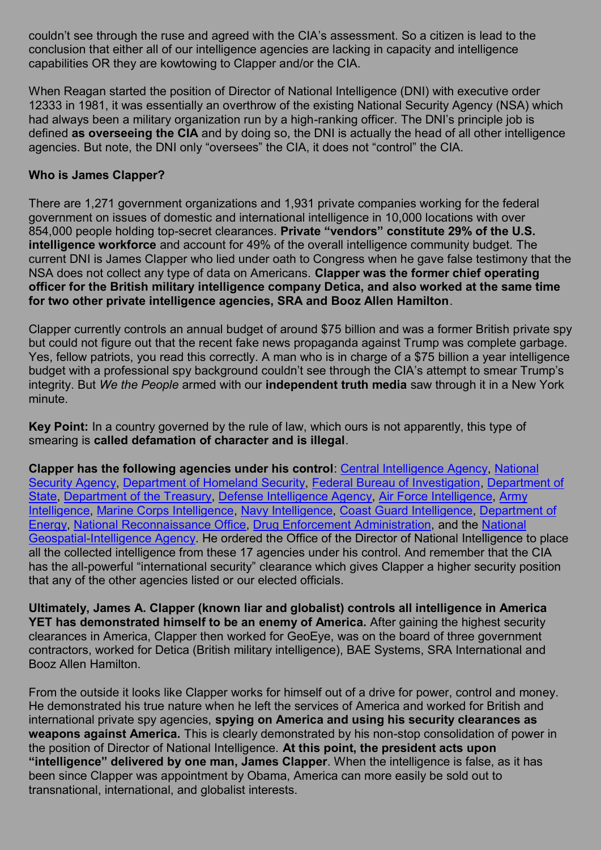couldn't see through the ruse and agreed with the CIA's assessment. So a citizen is lead to the conclusion that either all of our intelligence agencies are lacking in capacity and intelligence capabilities OR they are kowtowing to Clapper and/or the CIA.

When Reagan started the position of Director of National Intelligence (DNI) with executive order 12333 in 1981, it was essentially an overthrow of the existing National Security Agency (NSA) which had always been a military organization run by a high-ranking officer. The DNI's principle job is defined **as overseeing the CIA** and by doing so, the DNI is actually the head of all other intelligence agencies. But note, the DNI only "oversees" the CIA, it does not "control" the CIA.

#### **Who is James Clapper?**

There are 1,271 government organizations and 1,931 private companies working for the federal government on issues of domestic and international intelligence in 10,000 locations with over 854,000 people holding top-secret clearances. **Private "vendors" constitute 29% of the U.S. intelligence workforce** and account for 49% of the overall intelligence community budget. The current DNI is James Clapper who lied under oath to Congress when he gave false testimony that the NSA does not collect any type of data on Americans. **Clapper was the former chief operating officer for the British military intelligence company Detica, and also worked at the same time for two other private intelligence agencies, SRA and Booz Allen Hamilton**.

Clapper currently controls an annual budget of around \$75 billion and was a former British private spy but could not figure out that the recent fake news propaganda against Trump was complete garbage. Yes, fellow patriots, you read this correctly. A man who is in charge of a \$75 billion a year intelligence budget with a professional spy background couldn't see through the CIA's attempt to smear Trump's integrity. But *We the People* armed with our **independent truth media** saw through it in a New York minute.

**Key Point:** In a country governed by the rule of law, which ours is not apparently, this type of smearing is **called defamation of character and is illegal**.

**Clapper has the following agencies under his control**: [Central Intelligence Agency,](https://www.dni.gov/index.php/intelligence-community/members-of-the-ic#cia) [National](https://www.dni.gov/index.php/intelligence-community/members-of-the-ic#nsa)  [Security Agency,](https://www.dni.gov/index.php/intelligence-community/members-of-the-ic#nsa) [Department of Homeland Security,](https://www.dni.gov/index.php/intelligence-community/members-of-the-ic#dhs) [Federal Bureau of Investigation,](https://www.dni.gov/index.php/intelligence-community/members-of-the-ic#fbi) [Department of](https://www.dni.gov/index.php/intelligence-community/members-of-the-ic#dos)  [State,](https://www.dni.gov/index.php/intelligence-community/members-of-the-ic#dos) [Department of the Treasury,](https://www.dni.gov/index.php/intelligence-community/members-of-the-ic#dot) [Defense Intelligence Agency,](https://www.dni.gov/index.php/intelligence-community/members-of-the-ic#dia) [Air Force Intelligence,](https://www.dni.gov/index.php/intelligence-community/members-of-the-ic#usaf) [Army](https://www.dni.gov/index.php/intelligence-community/members-of-the-ic#usa)  [Intelligence,](https://www.dni.gov/index.php/intelligence-community/members-of-the-ic#usa) [Marine Corps Intelligence,](https://www.dni.gov/index.php/intelligence-community/members-of-the-ic#usmc) [Navy Intelligence,](https://www.dni.gov/index.php/intelligence-community/members-of-the-ic#usn) [Coast Guard Intelligence,](https://www.dni.gov/index.php/intelligence-community/members-of-the-ic#uscg) [Department of](https://www.dni.gov/index.php/intelligence-community/members-of-the-ic#doe)  [Energy,](https://www.dni.gov/index.php/intelligence-community/members-of-the-ic#doe) [National Reconnaissance Office,](https://www.dni.gov/index.php/intelligence-community/members-of-the-ic#nro) [Drug Enforcement Administration,](https://www.dni.gov/index.php/intelligence-community/members-of-the-ic#doj) and the [National](https://www.dni.gov/index.php/intelligence-community/members-of-the-ic#nga)  [Geospatial-Intelligence Agency.](https://www.dni.gov/index.php/intelligence-community/members-of-the-ic#nga) He ordered the Office of the Director of National Intelligence to place all the collected intelligence from these 17 agencies under his control. And remember that the CIA has the all-powerful "international security" clearance which gives Clapper a higher security position that any of the other agencies listed or our elected officials.

**Ultimately, James A. Clapper (known liar and globalist) controls all intelligence in America YET has demonstrated himself to be an enemy of America.** After gaining the highest security clearances in America, Clapper then worked for GeoEye, was on the board of three government contractors, worked for Detica (British military intelligence), BAE Systems, SRA International and Booz Allen Hamilton.

From the outside it looks like Clapper works for himself out of a drive for power, control and money. He demonstrated his true nature when he left the services of America and worked for British and international private spy agencies, **spying on America and using his security clearances as weapons against America.** This is clearly demonstrated by his non-stop consolidation of power in the position of Director of National Intelligence. **At this point, the president acts upon "intelligence" delivered by one man, James Clapper**. When the intelligence is false, as it has been since Clapper was appointment by Obama, America can more easily be sold out to transnational, international, and globalist interests.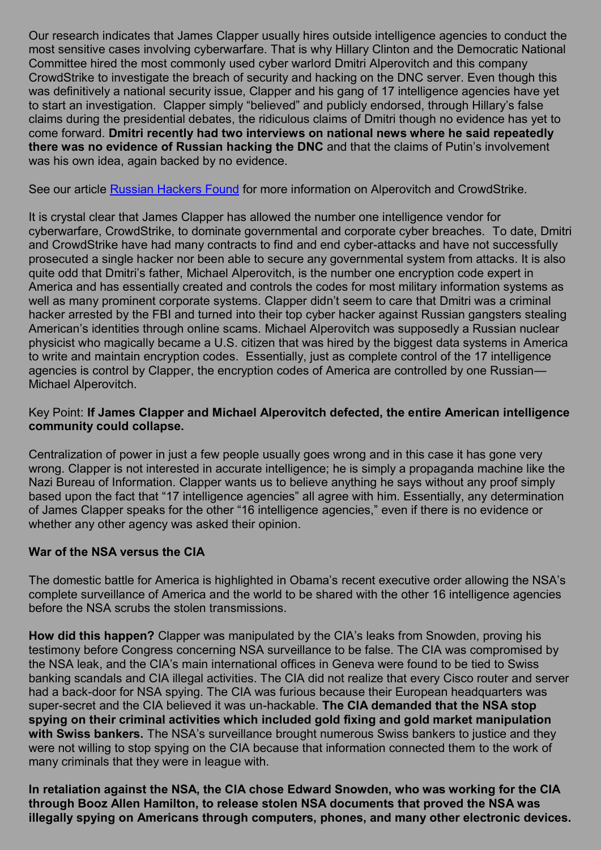Our research indicates that James Clapper usually hires outside intelligence agencies to conduct the most sensitive cases involving cyberwarfare. That is why Hillary Clinton and the Democratic National Committee hired the most commonly used cyber warlord Dmitri Alperovitch and this company CrowdStrike to investigate the breach of security and hacking on the DNC server. Even though this was definitively a national security issue, Clapper and his gang of 17 intelligence agencies have yet to start an investigation. Clapper simply "believed" and publicly endorsed, through Hillary's false claims during the presidential debates, the ridiculous claims of Dmitri though no evidence has yet to come forward. **Dmitri recently had two interviews on national news where he said repeatedly there was no evidence of Russian hacking the DNC** and that the claims of Putin's involvement was his own idea, again backed by no evidence.

See our article [Russian Hackers Found](http://themillenniumreport.com/2017/01/dnc-russian-hackers-found) for more information on Alperovitch and CrowdStrike.

It is crystal clear that James Clapper has allowed the number one intelligence vendor for cyberwarfare, CrowdStrike, to dominate governmental and corporate cyber breaches. To date, Dmitri and CrowdStrike have had many contracts to find and end cyber-attacks and have not successfully prosecuted a single hacker nor been able to secure any governmental system from attacks. It is also quite odd that Dmitri's father, Michael Alperovitch, is the number one encryption code expert in America and has essentially created and controls the codes for most military information systems as well as many prominent corporate systems. Clapper didn't seem to care that Dmitri was a criminal hacker arrested by the FBI and turned into their top cyber hacker against Russian gangsters stealing American's identities through online scams. Michael Alperovitch was supposedly a Russian nuclear physicist who magically became a U.S. citizen that was hired by the biggest data systems in America to write and maintain encryption codes. Essentially, just as complete control of the 17 intelligence agencies is control by Clapper, the encryption codes of America are controlled by one Russian— Michael Alperovitch.

#### Key Point: **If James Clapper and Michael Alperovitch defected, the entire American intelligence community could collapse.**

Centralization of power in just a few people usually goes wrong and in this case it has gone very wrong. Clapper is not interested in accurate intelligence; he is simply a propaganda machine like the Nazi Bureau of Information. Clapper wants us to believe anything he says without any proof simply based upon the fact that "17 intelligence agencies" all agree with him. Essentially, any determination of James Clapper speaks for the other "16 intelligence agencies," even if there is no evidence or whether any other agency was asked their opinion.

### **War of the NSA versus the CIA**

The domestic battle for America is highlighted in Obama's recent executive order allowing the NSA's complete surveillance of America and the world to be shared with the other 16 intelligence agencies before the NSA scrubs the stolen transmissions.

**How did this happen?** Clapper was manipulated by the CIA's leaks from Snowden, proving his testimony before Congress concerning NSA surveillance to be false. The CIA was compromised by the NSA leak, and the CIA's main international offices in Geneva were found to be tied to Swiss banking scandals and CIA illegal activities. The CIA did not realize that every Cisco router and server had a back-door for NSA spying. The CIA was furious because their European headquarters was super-secret and the CIA believed it was un-hackable. **The CIA demanded that the NSA stop spying on their criminal activities which included gold fixing and gold market manipulation with Swiss bankers.** The NSA's surveillance brought numerous Swiss bankers to justice and they were not willing to stop spying on the CIA because that information connected them to the work of many criminals that they were in league with.

**In retaliation against the NSA, the CIA chose Edward Snowden, who was working for the CIA through Booz Allen Hamilton, to release stolen NSA documents that proved the NSA was illegally spying on Americans through computers, phones, and many other electronic devices.**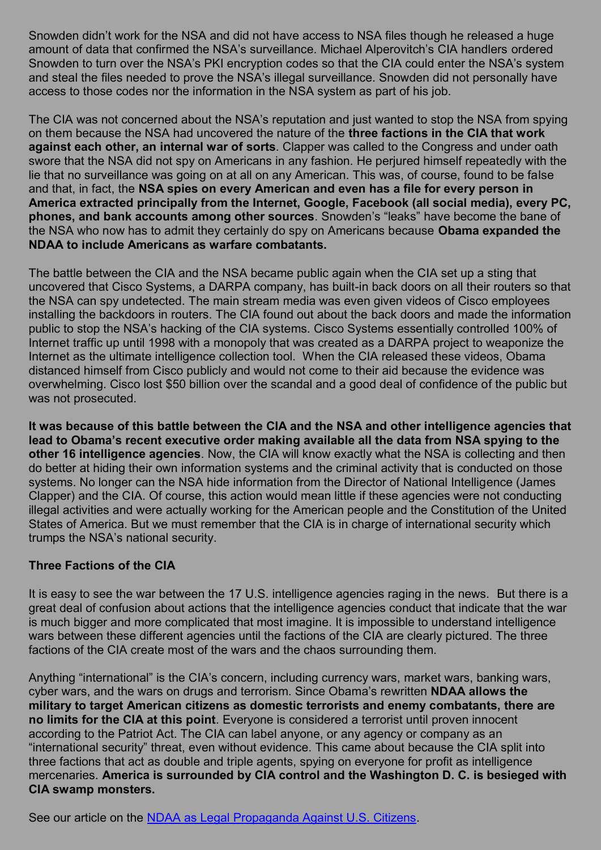Snowden didn't work for the NSA and did not have access to NSA files though he released a huge amount of data that confirmed the NSA's surveillance. Michael Alperovitch's CIA handlers ordered Snowden to turn over the NSA's PKI encryption codes so that the CIA could enter the NSA's system and steal the files needed to prove the NSA's illegal surveillance. Snowden did not personally have access to those codes nor the information in the NSA system as part of his job.

The CIA was not concerned about the NSA's reputation and just wanted to stop the NSA from spying on them because the NSA had uncovered the nature of the **three factions in the CIA that work against each other, an internal war of sorts**. Clapper was called to the Congress and under oath swore that the NSA did not spy on Americans in any fashion. He periured himself repeatedly with the lie that no surveillance was going on at all on any American. This was, of course, found to be false and that, in fact, the **NSA spies on every American and even has a file for every person in America extracted principally from the Internet, Google, Facebook (all social media), every PC, phones, and bank accounts among other sources**. Snowden's "leaks" have become the bane of the NSA who now has to admit they certainly do spy on Americans because **Obama expanded the NDAA to include Americans as warfare combatants.**

The battle between the CIA and the NSA became public again when the CIA set up a sting that uncovered that Cisco Systems, a DARPA company, has built-in back doors on all their routers so that the NSA can spy undetected. The main stream media was even given videos of Cisco employees installing the backdoors in routers. The CIA found out about the back doors and made the information public to stop the NSA's hacking of the CIA systems. Cisco Systems essentially controlled 100% of Internet traffic up until 1998 with a monopoly that was created as a DARPA project to weaponize the Internet as the ultimate intelligence collection tool. When the CIA released these videos, Obama distanced himself from Cisco publicly and would not come to their aid because the evidence was overwhelming. Cisco lost \$50 billion over the scandal and a good deal of confidence of the public but was not prosecuted.

**It was because of this battle between the CIA and the NSA and other intelligence agencies that lead to Obama's recent executive order making available all the data from NSA spying to the other 16 intelligence agencies**. Now, the CIA will know exactly what the NSA is collecting and then do better at hiding their own information systems and the criminal activity that is conducted on those systems. No longer can the NSA hide information from the Director of National Intelligence (James Clapper) and the CIA. Of course, this action would mean little if these agencies were not conducting illegal activities and were actually working for the American people and the Constitution of the United States of America. But we must remember that the CIA is in charge of international security which trumps the NSA's national security.

# **Three Factions of the CIA**

It is easy to see the war between the 17 U.S. intelligence agencies raging in the news. But there is a great deal of confusion about actions that the intelligence agencies conduct that indicate that the war is much bigger and more complicated that most imagine. It is impossible to understand intelligence wars between these different agencies until the factions of the CIA are clearly pictured. The three factions of the CIA create most of the wars and the chaos surrounding them.

Anything "international" is the CIA's concern, including currency wars, market wars, banking wars, cyber wars, and the wars on drugs and terrorism. Since Obama's rewritten **NDAA allows the military to target American citizens as domestic terrorists and enemy combatants, there are no limits for the CIA at this point**. Everyone is considered a terrorist until proven innocent according to the Patriot Act. The CIA can label anyone, or any agency or company as an "international security" threat, even without evidence. This came about because the CIA split into three factions that act as double and triple agents, spying on everyone for profit as intelligence mercenaries. **America is surrounded by CIA control and the Washington D. C. is besieged with CIA swamp monsters.**

See our article on the [NDAA as Legal Propaganda Against U.S. Citizens.](http://stateofthenation2012.com/?p=29475)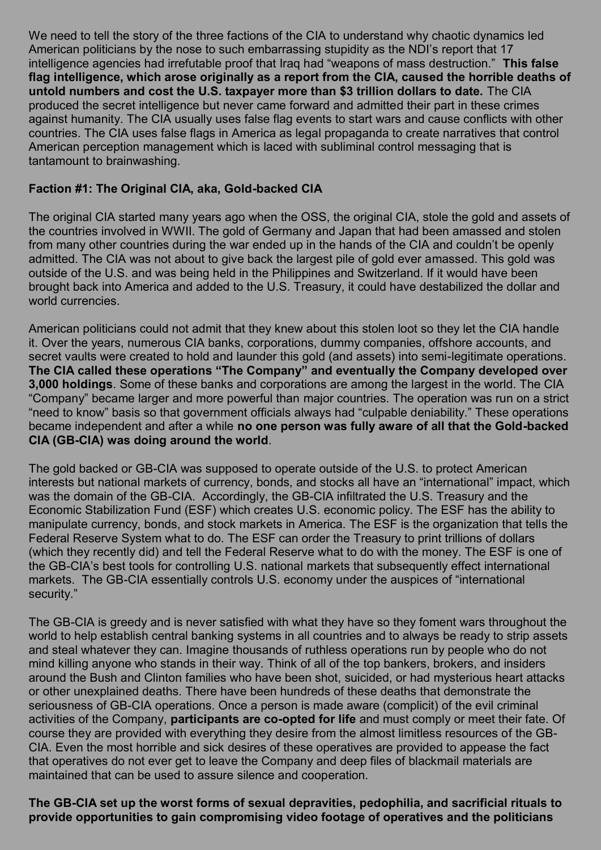We need to tell the story of the three factions of the CIA to understand why chaotic dynamics led American politicians by the nose to such embarrassing stupidity as the NDI's report that 17 intelligence agencies had irrefutable proof that Iraq had "weapons of mass destruction." **This false flag intelligence, which arose originally as a report from the CIA, caused the horrible deaths of untold numbers and cost the U.S. taxpayer more than \$3 trillion dollars to date.** The CIA produced the secret intelligence but never came forward and admitted their part in these crimes against humanity. The CIA usually uses false flag events to start wars and cause conflicts with other countries. The CIA uses false flags in America as legal propaganda to create narratives that control American perception management which is laced with subliminal control messaging that is tantamount to brainwashing.

# **Faction #1: The Original CIA, aka, Gold-backed CIA**

The original CIA started many years ago when the OSS, the original CIA, stole the gold and assets of the countries involved in WWII. The gold of Germany and Japan that had been amassed and stolen from many other countries during the war ended up in the hands of the CIA and couldn't be openly admitted. The CIA was not about to give back the largest pile of gold ever amassed. This gold was outside of the U.S. and was being held in the Philippines and Switzerland. If it would have been brought back into America and added to the U.S. Treasury, it could have destabilized the dollar and world currencies.

American politicians could not admit that they knew about this stolen loot so they let the CIA handle it. Over the years, numerous CIA banks, corporations, dummy companies, offshore accounts, and secret vaults were created to hold and launder this gold (and assets) into semi-legitimate operations. **The CIA called these operations "The Company" and eventually the Company developed over 3,000 holdings**. Some of these banks and corporations are among the largest in the world. The CIA "Company" became larger and more powerful than major countries. The operation was run on a strict "need to know" basis so that government officials always had "culpable deniability." These operations became independent and after a while **no one person was fully aware of all that the Gold-backed CIA (GB-CIA) was doing around the world**.

The gold backed or GB-CIA was supposed to operate outside of the U.S. to protect American interests but national markets of currency, bonds, and stocks all have an "international" impact, which was the domain of the GB-CIA. Accordingly, the GB-CIA infiltrated the U.S. Treasury and the Economic Stabilization Fund (ESF) which creates U.S. economic policy. The ESF has the ability to manipulate currency, bonds, and stock markets in America. The ESF is the organization that tells the Federal Reserve System what to do. The ESF can order the Treasury to print trillions of dollars (which they recently did) and tell the Federal Reserve what to do with the money. The ESF is one of the GB-CIA's best tools for controlling U.S. national markets that subsequently effect international markets. The GB-CIA essentially controls U.S. economy under the auspices of "international security."

The GB-CIA is greedy and is never satisfied with what they have so they foment wars throughout the world to help establish central banking systems in all countries and to always be ready to strip assets and steal whatever they can. Imagine thousands of ruthless operations run by people who do not mind killing anyone who stands in their way. Think of all of the top bankers, brokers, and insiders around the Bush and Clinton families who have been shot, suicided, or had mysterious heart attacks or other unexplained deaths. There have been hundreds of these deaths that demonstrate the seriousness of GB-CIA operations. Once a person is made aware (complicit) of the evil criminal activities of the Company, **participants are co-opted for life** and must comply or meet their fate. Of course they are provided with everything they desire from the almost limitless resources of the GB-CIA. Even the most horrible and sick desires of these operatives are provided to appease the fact that operatives do not ever get to leave the Company and deep files of blackmail materials are maintained that can be used to assure silence and cooperation.

**The GB-CIA set up the worst forms of sexual depravities, pedophilia, and sacrificial rituals to provide opportunities to gain compromising video footage of operatives and the politicians**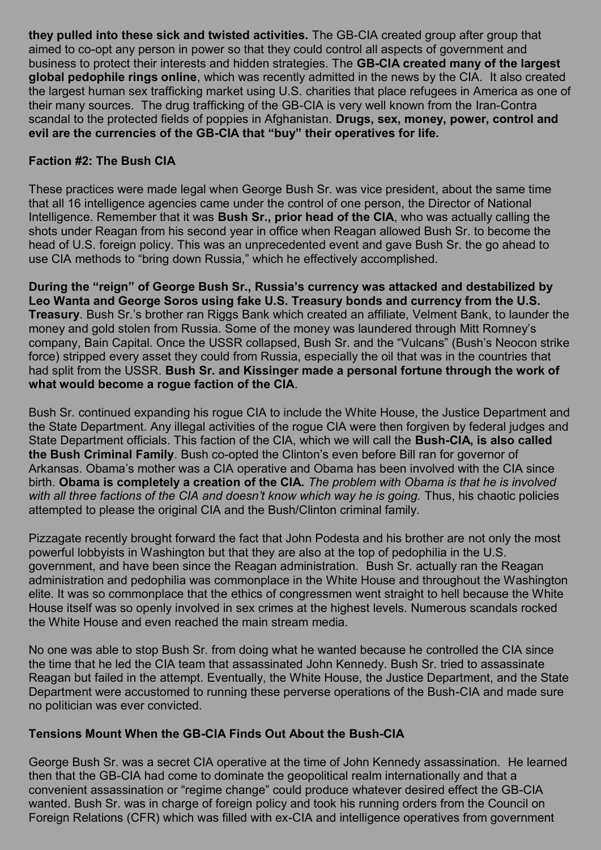**they pulled into these sick and twisted activities.** The GB-CIA created group after group that aimed to co-opt any person in power so that they could control all aspects of government and business to protect their interests and hidden strategies. The **GB-CIA created many of the largest global pedophile rings online**, which was recently admitted in the news by the CIA. It also created the largest human sex trafficking market using U.S. charities that place refugees in America as one of their many sources. The drug trafficking of the GB-CIA is very well known from the Iran-Contra scandal to the protected fields of poppies in Afghanistan. **Drugs, sex, money, power, control and evil are the currencies of the GB-CIA that "buy" their operatives for life.**

### **Faction #2: The Bush CIA**

These practices were made legal when George Bush Sr. was vice president, about the same time that all 16 intelligence agencies came under the control of one person, the Director of National Intelligence. Remember that it was **Bush Sr., prior head of the CIA**, who was actually calling the shots under Reagan from his second year in office when Reagan allowed Bush Sr. to become the head of U.S. foreign policy. This was an unprecedented event and gave Bush Sr. the go ahead to use CIA methods to "bring down Russia," which he effectively accomplished.

**During the "reign" of George Bush Sr., Russia's currency was attacked and destabilized by Leo Wanta and George Soros using fake U.S. Treasury bonds and currency from the U.S. Treasury**. Bush Sr.'s brother ran Riggs Bank which created an affiliate, Velment Bank, to launder the money and gold stolen from Russia. Some of the money was laundered through Mitt Romney's company, Bain Capital. Once the USSR collapsed, Bush Sr. and the "Vulcans" (Bush's Neocon strike force) stripped every asset they could from Russia, especially the oil that was in the countries that had split from the USSR. **Bush Sr. and Kissinger made a personal fortune through the work of what would become a rogue faction of the CIA**.

Bush Sr. continued expanding his rogue CIA to include the White House, the Justice Department and the State Department. Any illegal activities of the rogue CIA were then forgiven by federal judges and State Department officials. This faction of the CIA, which we will call the **Bush-CIA, is also called the Bush Criminal Family**. Bush co-opted the Clinton's even before Bill ran for governor of Arkansas. Obama's mother was a CIA operative and Obama has been involved with the CIA since birth. **Obama is completely a creation of the CIA.** *The problem with Obama is that he is involved with all three factions of the CIA and doesn't know which way he is going.* Thus, his chaotic policies attempted to please the original CIA and the Bush/Clinton criminal family.

Pizzagate recently brought forward the fact that John Podesta and his brother are not only the most powerful lobbyists in Washington but that they are also at the top of pedophilia in the U.S. government, and have been since the Reagan administration. Bush Sr. actually ran the Reagan administration and pedophilia was commonplace in the White House and throughout the Washington elite. It was so commonplace that the ethics of congressmen went straight to hell because the White House itself was so openly involved in sex crimes at the highest levels. Numerous scandals rocked the White House and even reached the main stream media.

No one was able to stop Bush Sr. from doing what he wanted because he controlled the CIA since the time that he led the CIA team that assassinated John Kennedy. Bush Sr. tried to assassinate Reagan but failed in the attempt. Eventually, the White House, the Justice Department, and the State Department were accustomed to running these perverse operations of the Bush-CIA and made sure no politician was ever convicted.

### **Tensions Mount When the GB-CIA Finds Out About the Bush-CIA**

George Bush Sr. was a secret CIA operative at the time of John Kennedy assassination. He learned then that the GB-CIA had come to dominate the geopolitical realm internationally and that a convenient assassination or "regime change" could produce whatever desired effect the GB-CIA wanted. Bush Sr. was in charge of foreign policy and took his running orders from the Council on Foreign Relations (CFR) which was filled with ex-CIA and intelligence operatives from government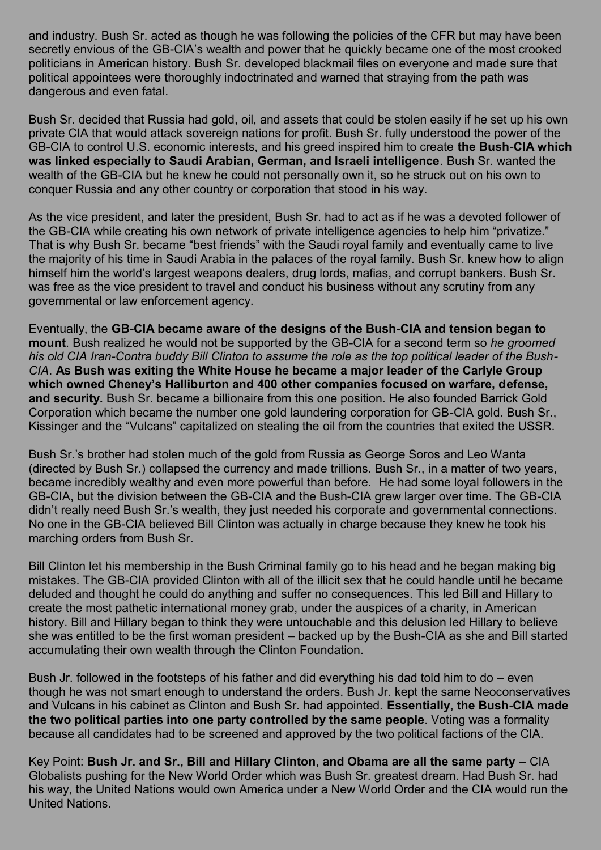and industry. Bush Sr. acted as though he was following the policies of the CFR but may have been secretly envious of the GB-CIA's wealth and power that he quickly became one of the most crooked politicians in American history. Bush Sr. developed blackmail files on everyone and made sure that political appointees were thoroughly indoctrinated and warned that straying from the path was dangerous and even fatal.

Bush Sr. decided that Russia had gold, oil, and assets that could be stolen easily if he set up his own private CIA that would attack sovereign nations for profit. Bush Sr. fully understood the power of the GB-CIA to control U.S. economic interests, and his greed inspired him to create **the Bush-CIA which was linked especially to Saudi Arabian, German, and Israeli intelligence**. Bush Sr. wanted the wealth of the GB-CIA but he knew he could not personally own it, so he struck out on his own to conquer Russia and any other country or corporation that stood in his way.

As the vice president, and later the president, Bush Sr. had to act as if he was a devoted follower of the GB-CIA while creating his own network of private intelligence agencies to help him "privatize." That is why Bush Sr. became "best friends" with the Saudi royal family and eventually came to live the majority of his time in Saudi Arabia in the palaces of the royal family. Bush Sr. knew how to align himself him the world's largest weapons dealers, drug lords, mafias, and corrupt bankers. Bush Sr. was free as the vice president to travel and conduct his business without any scrutiny from any governmental or law enforcement agency.

Eventually, the **GB-CIA became aware of the designs of the Bush-CIA and tension began to mount**. Bush realized he would not be supported by the GB-CIA for a second term so *he groomed his old CIA Iran-Contra buddy Bill Clinton to assume the role as the top political leader of the Bush-CIA*. **As Bush was exiting the White House he became a major leader of the Carlyle Group which owned Cheney's Halliburton and 400 other companies focused on warfare, defense, and security.** Bush Sr. became a billionaire from this one position. He also founded Barrick Gold Corporation which became the number one gold laundering corporation for GB-CIA gold. Bush Sr., Kissinger and the "Vulcans" capitalized on stealing the oil from the countries that exited the USSR.

Bush Sr.'s brother had stolen much of the gold from Russia as George Soros and Leo Wanta (directed by Bush Sr.) collapsed the currency and made trillions. Bush Sr., in a matter of two years, became incredibly wealthy and even more powerful than before. He had some loyal followers in the GB-CIA, but the division between the GB-CIA and the Bush-CIA grew larger over time. The GB-CIA didn't really need Bush Sr.'s wealth, they just needed his corporate and governmental connections. No one in the GB-CIA believed Bill Clinton was actually in charge because they knew he took his marching orders from Bush Sr.

Bill Clinton let his membership in the Bush Criminal family go to his head and he began making big mistakes. The GB-CIA provided Clinton with all of the illicit sex that he could handle until he became deluded and thought he could do anything and suffer no consequences. This led Bill and Hillary to create the most pathetic international money grab, under the auspices of a charity, in American history. Bill and Hillary began to think they were untouchable and this delusion led Hillary to believe she was entitled to be the first woman president – backed up by the Bush-CIA as she and Bill started accumulating their own wealth through the Clinton Foundation.

Bush Jr. followed in the footsteps of his father and did everything his dad told him to do – even though he was not smart enough to understand the orders. Bush Jr. kept the same Neoconservatives and Vulcans in his cabinet as Clinton and Bush Sr. had appointed. **Essentially, the Bush-CIA made the two political parties into one party controlled by the same people**. Voting was a formality because all candidates had to be screened and approved by the two political factions of the CIA.

Key Point: **Bush Jr. and Sr., Bill and Hillary Clinton, and Obama are all the same party** – CIA Globalists pushing for the New World Order which was Bush Sr. greatest dream. Had Bush Sr. had his way, the United Nations would own America under a New World Order and the CIA would run the United Nations.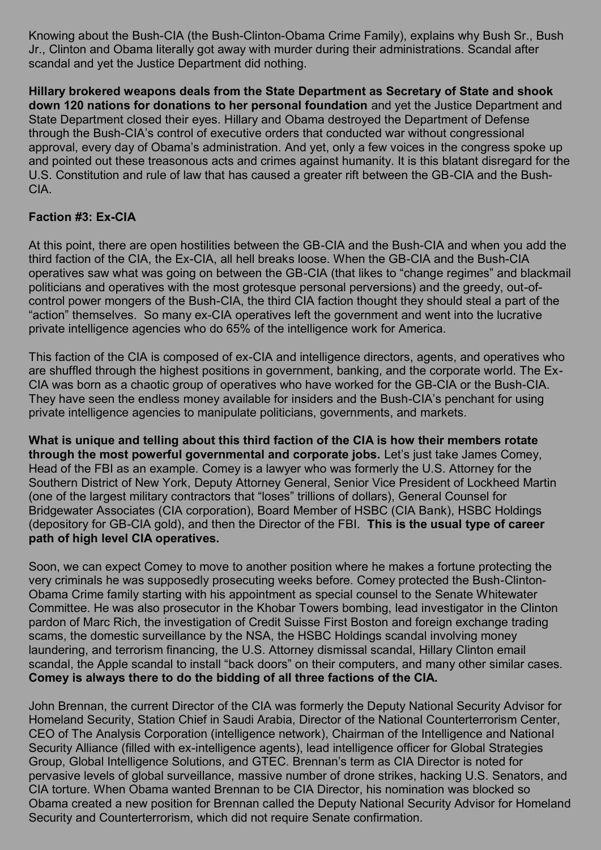Knowing about the Bush-CIA (the Bush-Clinton-Obama Crime Family), explains why Bush Sr., Bush Jr., Clinton and Obama literally got away with murder during their administrations. Scandal after scandal and yet the Justice Department did nothing.

**Hillary brokered weapons deals from the State Department as Secretary of State and shook down 120 nations for donations to her personal foundation** and yet the Justice Department and State Department closed their eyes. Hillary and Obama destroyed the Department of Defense through the Bush-CIA's control of executive orders that conducted war without congressional approval, every day of Obama's administration. And yet, only a few voices in the congress spoke up and pointed out these treasonous acts and crimes against humanity. It is this blatant disregard for the U.S. Constitution and rule of law that has caused a greater rift between the GB-CIA and the Bush-CIA.

### **Faction #3: Ex-CIA**

At this point, there are open hostilities between the GB-CIA and the Bush-CIA and when you add the third faction of the CIA, the Ex-CIA, all hell breaks loose. When the GB-CIA and the Bush-CIA operatives saw what was going on between the GB-CIA (that likes to "change regimes" and blackmail politicians and operatives with the most grotesque personal perversions) and the greedy, out-ofcontrol power mongers of the Bush-CIA, the third CIA faction thought they should steal a part of the "action" themselves. So many ex-CIA operatives left the government and went into the lucrative private intelligence agencies who do 65% of the intelligence work for America.

This faction of the CIA is composed of ex-CIA and intelligence directors, agents, and operatives who are shuffled through the highest positions in government, banking, and the corporate world. The Ex-CIA was born as a chaotic group of operatives who have worked for the GB-CIA or the Bush-CIA. They have seen the endless money available for insiders and the Bush-CIA's penchant for using private intelligence agencies to manipulate politicians, governments, and markets.

**What is unique and telling about this third faction of the CIA is how their members rotate through the most powerful governmental and corporate jobs.** Let's just take James Comey, Head of the FBI as an example. Comey is a lawyer who was formerly the U.S. Attorney for the Southern District of New York, Deputy Attorney General, Senior Vice President of Lockheed Martin (one of the largest military contractors that "loses" trillions of dollars), General Counsel for Bridgewater Associates (CIA corporation), Board Member of HSBC (CIA Bank), HSBC Holdings (depository for GB-CIA gold), and then the Director of the FBI. **This is the usual type of career path of high level CIA operatives.**

Soon, we can expect Comey to move to another position where he makes a fortune protecting the very criminals he was supposedly prosecuting weeks before. Comey protected the Bush-Clinton-Obama Crime family starting with his appointment as special counsel to the Senate Whitewater Committee. He was also prosecutor in the Khobar Towers bombing, lead investigator in the Clinton pardon of Marc Rich, the investigation of Credit Suisse First Boston and foreign exchange trading scams, the domestic surveillance by the NSA, the HSBC Holdings scandal involving money laundering, and terrorism financing, the U.S. Attorney dismissal scandal, Hillary Clinton email scandal, the Apple scandal to install "back doors" on their computers, and many other similar cases. **Comey is always there to do the bidding of all three factions of the CIA.**

John Brennan, the current Director of the CIA was formerly the Deputy National Security Advisor for Homeland Security, Station Chief in Saudi Arabia, Director of the National Counterterrorism Center, CEO of The Analysis Corporation (intelligence network), Chairman of the Intelligence and National Security Alliance (filled with ex-intelligence agents), lead intelligence officer for Global Strategies Group, Global Intelligence Solutions, and GTEC. Brennan's term as CIA Director is noted for pervasive levels of global surveillance, massive number of drone strikes, hacking U.S. Senators, and CIA torture. When Obama wanted Brennan to be CIA Director, his nomination was blocked so Obama created a new position for Brennan called the Deputy National Security Advisor for Homeland Security and Counterterrorism, which did not require Senate confirmation.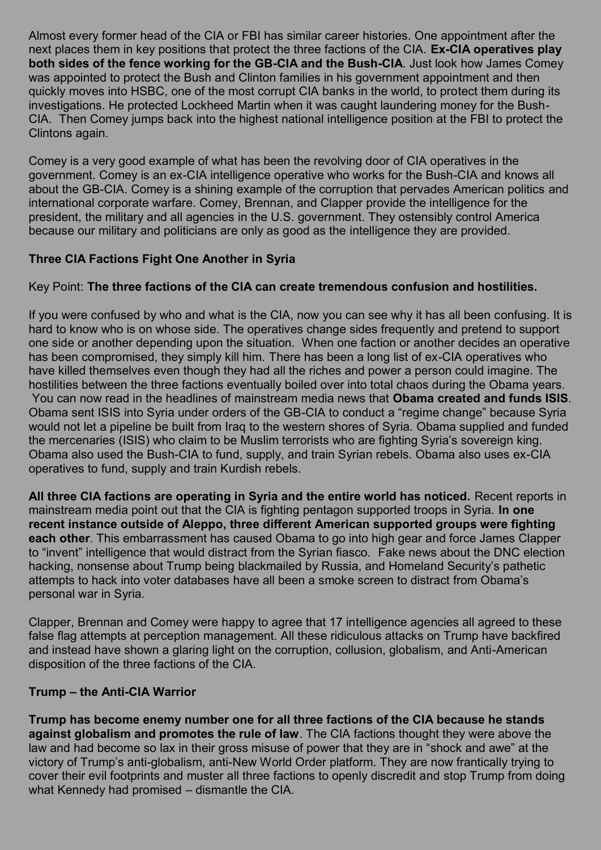Almost every former head of the CIA or FBI has similar career histories. One appointment after the next places them in key positions that protect the three factions of the CIA. **Ex-CIA operatives play both sides of the fence working for the GB-CIA and the Bush-CIA**. Just look how James Comey was appointed to protect the Bush and Clinton families in his government appointment and then quickly moves into HSBC, one of the most corrupt CIA banks in the world, to protect them during its investigations. He protected Lockheed Martin when it was caught laundering money for the Bush-CIA. Then Comey jumps back into the highest national intelligence position at the FBI to protect the Clintons again.

Comey is a very good example of what has been the revolving door of CIA operatives in the government. Comey is an ex-CIA intelligence operative who works for the Bush-CIA and knows all about the GB-CIA. Comey is a shining example of the corruption that pervades American politics and international corporate warfare. Comey, Brennan, and Clapper provide the intelligence for the president, the military and all agencies in the U.S. government. They ostensibly control America because our military and politicians are only as good as the intelligence they are provided.

# **Three CIA Factions Fight One Another in Syria**

### Key Point: **The three factions of the CIA can create tremendous confusion and hostilities.**

If you were confused by who and what is the CIA, now you can see why it has all been confusing. It is hard to know who is on whose side. The operatives change sides frequently and pretend to support one side or another depending upon the situation. When one faction or another decides an operative has been compromised, they simply kill him. There has been a long list of ex-CIA operatives who have killed themselves even though they had all the riches and power a person could imagine. The hostilities between the three factions eventually boiled over into total chaos during the Obama years. You can now read in the headlines of mainstream media news that **Obama created and funds ISIS**. Obama sent ISIS into Syria under orders of the GB-CIA to conduct a "regime change" because Syria would not let a pipeline be built from Iraq to the western shores of Syria. Obama supplied and funded the mercenaries (ISIS) who claim to be Muslim terrorists who are fighting Syria's sovereign king. Obama also used the Bush-CIA to fund, supply, and train Syrian rebels. Obama also uses ex-CIA operatives to fund, supply and train Kurdish rebels.

**All three CIA factions are operating in Syria and the entire world has noticed.** Recent reports in mainstream media point out that the CIA is fighting pentagon supported troops in Syria. **In one recent instance outside of Aleppo, three different American supported groups were fighting each other**. This embarrassment has caused Obama to go into high gear and force James Clapper to "invent" intelligence that would distract from the Syrian fiasco. Fake news about the DNC election hacking, nonsense about Trump being blackmailed by Russia, and Homeland Security's pathetic attempts to hack into voter databases have all been a smoke screen to distract from Obama's personal war in Syria.

Clapper, Brennan and Comey were happy to agree that 17 intelligence agencies all agreed to these false flag attempts at perception management. All these ridiculous attacks on Trump have backfired and instead have shown a glaring light on the corruption, collusion, globalism, and Anti-American disposition of the three factions of the CIA.

#### **Trump – the Anti-CIA Warrior**

**Trump has become enemy number one for all three factions of the CIA because he stands against globalism and promotes the rule of law**. The CIA factions thought they were above the law and had become so lax in their gross misuse of power that they are in "shock and awe" at the victory of Trump's anti-globalism, anti-New World Order platform. They are now frantically trying to cover their evil footprints and muster all three factions to openly discredit and stop Trump from doing what Kennedy had promised – dismantle the CIA.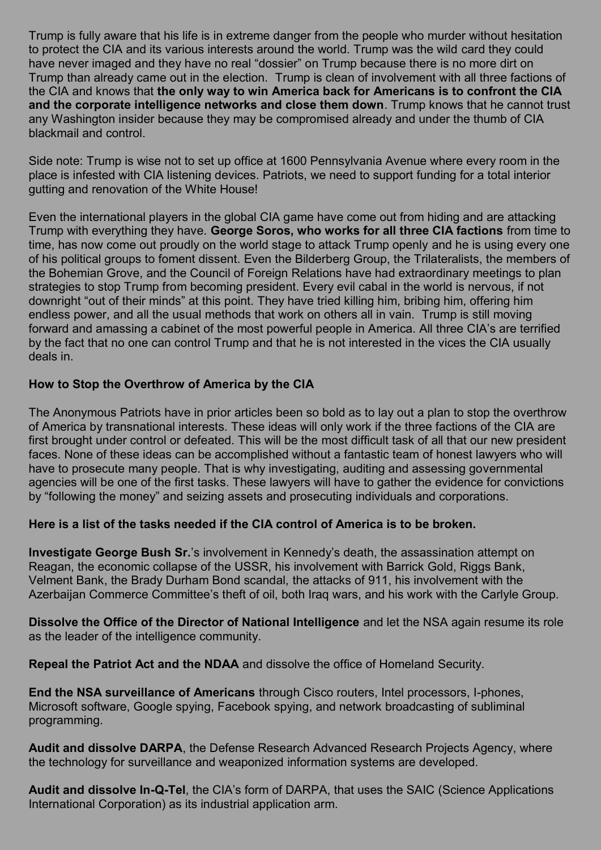Trump is fully aware that his life is in extreme danger from the people who murder without hesitation to protect the CIA and its various interests around the world. Trump was the wild card they could have never imaged and they have no real "dossier" on Trump because there is no more dirt on Trump than already came out in the election. Trump is clean of involvement with all three factions of the CIA and knows that **the only way to win America back for Americans is to confront the CIA and the corporate intelligence networks and close them down**. Trump knows that he cannot trust any Washington insider because they may be compromised already and under the thumb of CIA blackmail and control.

Side note: Trump is wise not to set up office at 1600 Pennsylvania Avenue where every room in the place is infested with CIA listening devices. Patriots, we need to support funding for a total interior gutting and renovation of the White House!

Even the international players in the global CIA game have come out from hiding and are attacking Trump with everything they have. **George Soros, who works for all three CIA factions** from time to time, has now come out proudly on the world stage to attack Trump openly and he is using every one of his political groups to foment dissent. Even the Bilderberg Group, the Trilateralists, the members of the Bohemian Grove, and the Council of Foreign Relations have had extraordinary meetings to plan strategies to stop Trump from becoming president. Every evil cabal in the world is nervous, if not downright "out of their minds" at this point. They have tried killing him, bribing him, offering him endless power, and all the usual methods that work on others all in vain. Trump is still moving forward and amassing a cabinet of the most powerful people in America. All three CIA's are terrified by the fact that no one can control Trump and that he is not interested in the vices the CIA usually deals in.

### **How to Stop the Overthrow of America by the CIA**

The Anonymous Patriots have in prior articles been so bold as to lay out a plan to stop the overthrow of America by transnational interests. These ideas will only work if the three factions of the CIA are first brought under control or defeated. This will be the most difficult task of all that our new president faces. None of these ideas can be accomplished without a fantastic team of honest lawyers who will have to prosecute many people. That is why investigating, auditing and assessing governmental agencies will be one of the first tasks. These lawyers will have to gather the evidence for convictions by "following the money" and seizing assets and prosecuting individuals and corporations.

### **Here is a list of the tasks needed if the CIA control of America is to be broken.**

**Investigate George Bush Sr.**'s involvement in Kennedy's death, the assassination attempt on Reagan, the economic collapse of the USSR, his involvement with Barrick Gold, Riggs Bank, Velment Bank, the Brady Durham Bond scandal, the attacks of 911, his involvement with the Azerbaijan Commerce Committee's theft of oil, both Iraq wars, and his work with the Carlyle Group.

**Dissolve the Office of the Director of National Intelligence** and let the NSA again resume its role as the leader of the intelligence community.

**Repeal the Patriot Act and the NDAA** and dissolve the office of Homeland Security.

**End the NSA surveillance of Americans** through Cisco routers, Intel processors, I-phones, Microsoft software, Google spying, Facebook spying, and network broadcasting of subliminal programming.

**Audit and dissolve DARPA**, the Defense Research Advanced Research Projects Agency, where the technology for surveillance and weaponized information systems are developed.

**Audit and dissolve In-Q-Tel**, the CIA's form of DARPA, that uses the SAIC (Science Applications International Corporation) as its industrial application arm.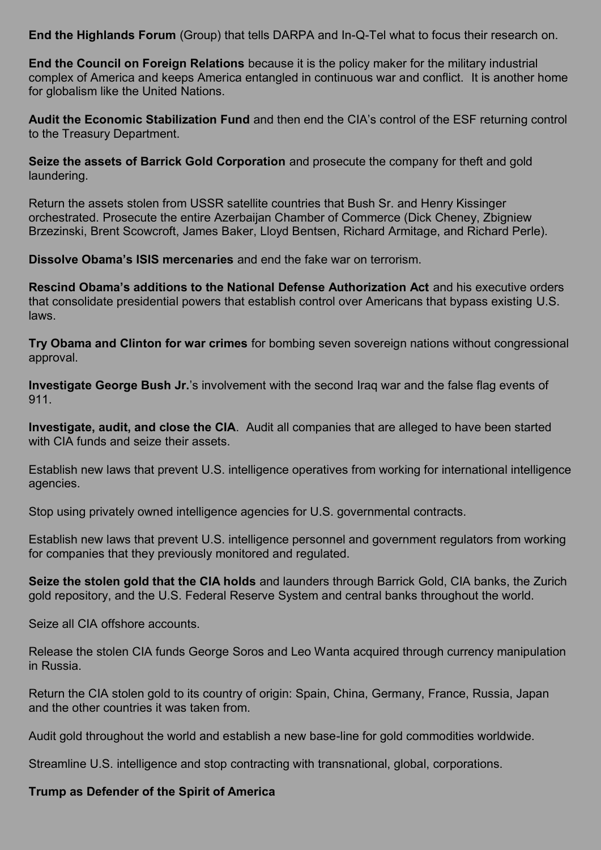**End the Highlands Forum** (Group) that tells DARPA and In-Q-Tel what to focus their research on.

**End the Council on Foreign Relations** because it is the policy maker for the military industrial complex of America and keeps America entangled in continuous war and conflict. It is another home for globalism like the United Nations.

**Audit the Economic Stabilization Fund** and then end the CIA's control of the ESF returning control to the Treasury Department.

**Seize the assets of Barrick Gold Corporation** and prosecute the company for theft and gold laundering.

Return the assets stolen from USSR satellite countries that Bush Sr. and Henry Kissinger orchestrated. Prosecute the entire Azerbaijan Chamber of Commerce (Dick Cheney, Zbigniew Brzezinski, Brent Scowcroft, James Baker, Lloyd Bentsen, Richard Armitage, and Richard Perle).

**Dissolve Obama's ISIS mercenaries** and end the fake war on terrorism.

**Rescind Obama's additions to the National Defense Authorization Act** and his executive orders that consolidate presidential powers that establish control over Americans that bypass existing U.S. laws.

**Try Obama and Clinton for war crimes** for bombing seven sovereign nations without congressional approval.

**Investigate George Bush Jr.**'s involvement with the second Iraq war and the false flag events of 911.

**Investigate, audit, and close the CIA**. Audit all companies that are alleged to have been started with CIA funds and seize their assets.

Establish new laws that prevent U.S. intelligence operatives from working for international intelligence agencies.

Stop using privately owned intelligence agencies for U.S. governmental contracts.

Establish new laws that prevent U.S. intelligence personnel and government regulators from working for companies that they previously monitored and regulated.

**Seize the stolen gold that the CIA holds** and launders through Barrick Gold, CIA banks, the Zurich gold repository, and the U.S. Federal Reserve System and central banks throughout the world.

Seize all CIA offshore accounts.

Release the stolen CIA funds George Soros and Leo Wanta acquired through currency manipulation in Russia.

Return the CIA stolen gold to its country of origin: Spain, China, Germany, France, Russia, Japan and the other countries it was taken from.

Audit gold throughout the world and establish a new base-line for gold commodities worldwide.

Streamline U.S. intelligence and stop contracting with transnational, global, corporations.

### **Trump as Defender of the Spirit of America**